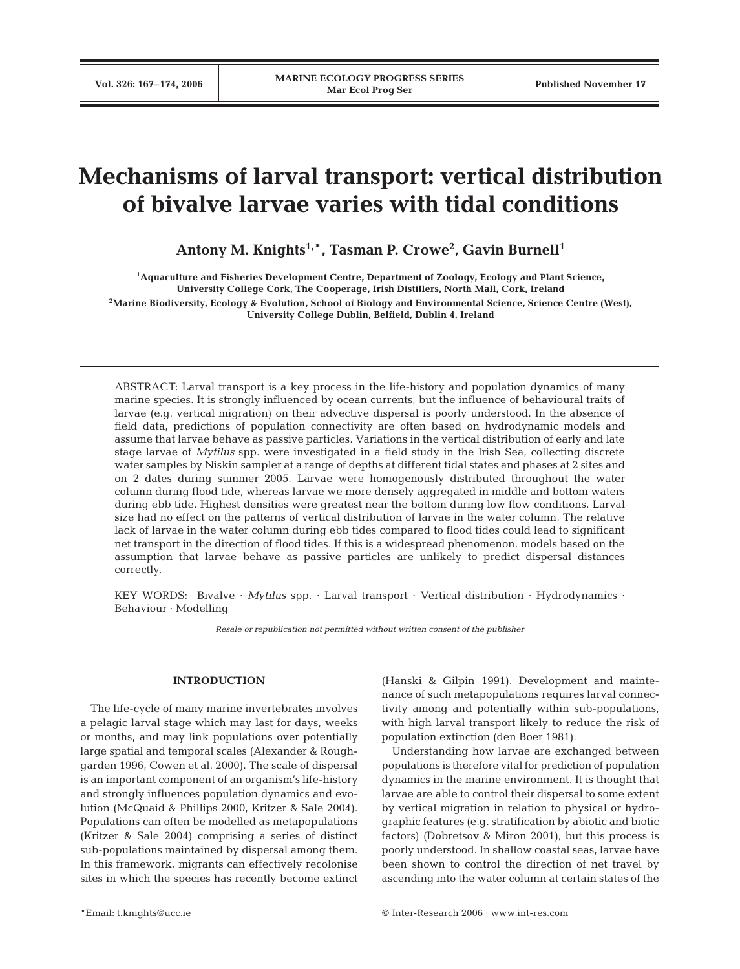# **Mechanisms of larval transport: vertical distribution of bivalve larvae varies with tidal conditions**

**Antony M. Knights1,**\***, Tasman P. Crowe2 , Gavin Burnell1**

**1 Aquaculture and Fisheries Development Centre, Department of Zoology, Ecology and Plant Science, University College Cork, The Cooperage, Irish Distillers, North Mall, Cork, Ireland 2 Marine Biodiversity, Ecology & Evolution, School of Biology and Environmental Science, Science Centre (West), University College Dublin, Belfield, Dublin 4, Ireland**

ABSTRACT: Larval transport is a key process in the life-history and population dynamics of many marine species. It is strongly influenced by ocean currents, but the influence of behavioural traits of larvae (e.g. vertical migration) on their advective dispersal is poorly understood. In the absence of field data, predictions of population connectivity are often based on hydrodynamic models and assume that larvae behave as passive particles. Variations in the vertical distribution of early and late stage larvae of *Mytilus* spp. were investigated in a field study in the Irish Sea, collecting discrete water samples by Niskin sampler at a range of depths at different tidal states and phases at 2 sites and on 2 dates during summer 2005. Larvae were homogenously distributed throughout the water column during flood tide, whereas larvae we more densely aggregated in middle and bottom waters during ebb tide. Highest densities were greatest near the bottom during low flow conditions. Larval size had no effect on the patterns of vertical distribution of larvae in the water column. The relative lack of larvae in the water column during ebb tides compared to flood tides could lead to significant net transport in the direction of flood tides. If this is a widespread phenomenon, models based on the assumption that larvae behave as passive particles are unlikely to predict dispersal distances correctly.

KEY WORDS: Bivalve · *Mytilus* spp. · Larval transport · Vertical distribution · Hydrodynamics · Behaviour · Modelling

*Resale or republication not permitted without written consent of the publisher*

# **INTRODUCTION**

The life-cycle of many marine invertebrates involves a pelagic larval stage which may last for days, weeks or months, and may link populations over potentially large spatial and temporal scales (Alexander & Roughgarden 1996, Cowen et al. 2000). The scale of dispersal is an important component of an organism's life-history and strongly influences population dynamics and evolution (McQuaid & Phillips 2000, Kritzer & Sale 2004). Populations can often be modelled as metapopulations (Kritzer & Sale 2004) comprising a series of distinct sub-populations maintained by dispersal among them. In this framework, migrants can effectively recolonise sites in which the species has recently become extinct (Hanski & Gilpin 1991). Development and maintenance of such metapopulations requires larval connectivity among and potentially within sub-populations, with high larval transport likely to reduce the risk of population extinction (den Boer 1981).

Understanding how larvae are exchanged between populations is therefore vital for prediction of population dynamics in the marine environment. It is thought that larvae are able to control their dispersal to some extent by vertical migration in relation to physical or hydrographic features (e.g. stratification by abiotic and biotic factors) (Dobretsov & Miron 2001), but this process is poorly understood. In shallow coastal seas, larvae have been shown to control the direction of net travel by ascending into the water column at certain states of the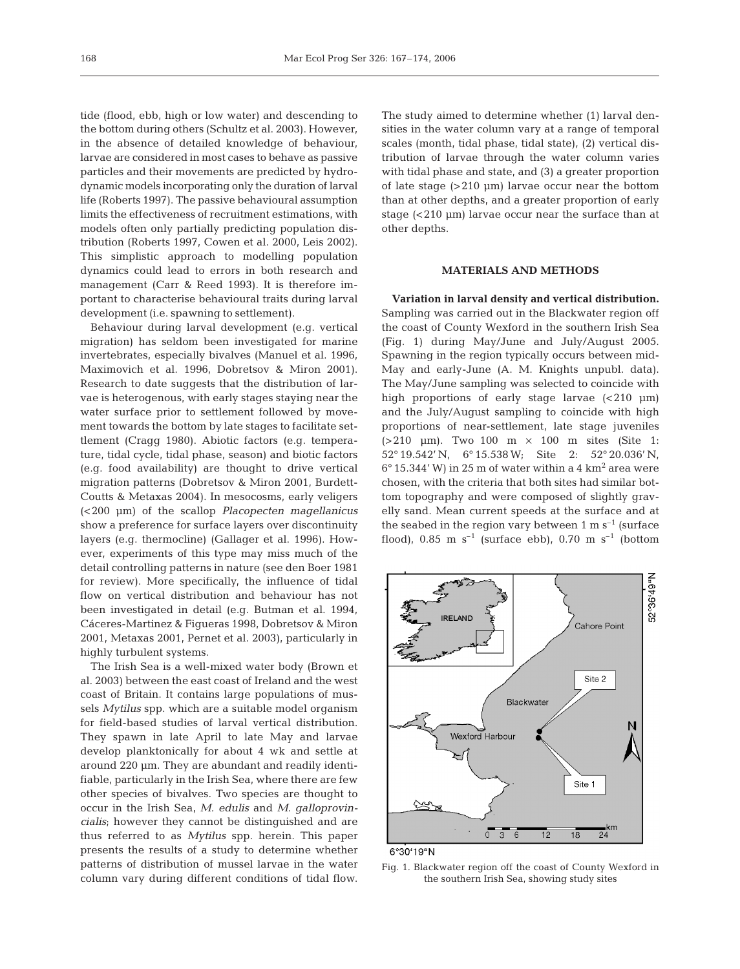tide (flood, ebb, high or low water) and descending to the bottom during others (Schultz et al. 2003). However, in the absence of detailed knowledge of behaviour, larvae are considered in most cases to behave as passive particles and their movements are predicted by hydrodynamic models incorporating only the duration of larval life (Roberts 1997). The passive behavioural assumption limits the effectiveness of recruitment estimations, with models often only partially predicting population distribution (Roberts 1997, Cowen et al. 2000, Leis 2002). This simplistic approach to modelling population dynamics could lead to errors in both research and management (Carr & Reed 1993). It is therefore important to characterise behavioural traits during larval development (i.e. spawning to settlement).

Behaviour during larval development (e.g. vertical migration) has seldom been investigated for marine invertebrates, especially bivalves (Manuel et al. 1996, Maximovich et al. 1996, Dobretsov & Miron 2001). Research to date suggests that the distribution of larvae is heterogenous, with early stages staying near the water surface prior to settlement followed by movement towards the bottom by late stages to facilitate settlement (Cragg 1980). Abiotic factors (e.g. temperature, tidal cycle, tidal phase, season) and biotic factors (e.g. food availability) are thought to drive vertical migration patterns (Dobretsov & Miron 2001, Burdett-Coutts & Metaxas 2004). In mesocosms, early veligers (<200 µm) of the scallop *Placopecten magellanicus* show a preference for surface layers over discontinuity layers (e.g. thermocline) (Gallager et al. 1996). However, experiments of this type may miss much of the detail controlling patterns in nature (see den Boer 1981 for review). More specifically, the influence of tidal flow on vertical distribution and behaviour has not been investigated in detail (e.g. Butman et al. 1994, Cáceres-Martinez & Figueras 1998, Dobretsov & Miron 2001, Metaxas 2001, Pernet et al. 2003), particularly in highly turbulent systems.

The Irish Sea is a well-mixed water body (Brown et al. 2003) between the east coast of Ireland and the west coast of Britain. It contains large populations of mussels *Mytilus* spp. which are a suitable model organism for field-based studies of larval vertical distribution. They spawn in late April to late May and larvae develop planktonically for about 4 wk and settle at around 220 µm. They are abundant and readily identifiable, particularly in the Irish Sea, where there are few other species of bivalves. Two species are thought to occur in the Irish Sea, *M. edulis* and *M. galloprovincialis*; however they cannot be distinguished and are thus referred to as *Mytilus* spp. herein. This paper presents the results of a study to determine whether patterns of distribution of mussel larvae in the water column vary during different conditions of tidal flow.

The study aimed to determine whether (1) larval densities in the water column vary at a range of temporal scales (month, tidal phase, tidal state), (2) vertical distribution of larvae through the water column varies with tidal phase and state, and (3) a greater proportion of late stage (>210 µm) larvae occur near the bottom than at other depths, and a greater proportion of early stage (<210 µm) larvae occur near the surface than at other depths.

#### **MATERIALS AND METHODS**

**Variation in larval density and vertical distribution.** Sampling was carried out in the Blackwater region off the coast of County Wexford in the southern Irish Sea (Fig. 1) during May/June and July/August 2005. Spawning in the region typically occurs between mid-May and early-June (A. M. Knights unpubl. data). The May/June sampling was selected to coincide with high proportions of early stage larvae  $\left( < 210 \text{ }\mu\text{m} \right)$ and the July/August sampling to coincide with high proportions of near-settlement, late stage juveniles (>210 µm). Two 100 m × 100 m sites (Site 1: 52° 19.542' N, 6° 15.538 W; Site 2: 52° 20.036' N,  $6^{\circ}$  15.344' W) in 25 m of water within a 4 km<sup>2</sup> area were chosen, with the criteria that both sites had similar bottom topography and were composed of slightly gravelly sand. Mean current speeds at the surface and at the seabed in the region vary between  $1 \text{ m s}^{-1}$  (surface flood), 0.85 m  $s^{-1}$  (surface ebb), 0.70 m  $s^{-1}$  (bottom



6°30'19"N

Fig. 1. Blackwater region off the coast of County Wexford in the southern Irish Sea, showing study sites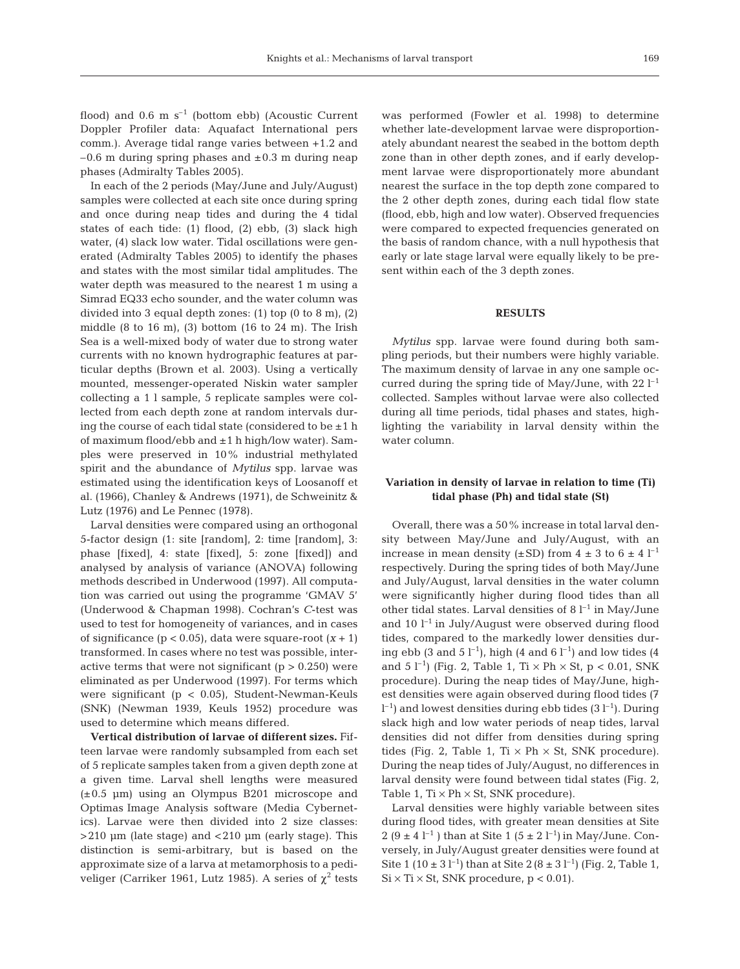flood) and  $0.6$  m s<sup>-1</sup> (bottom ebb) (Acoustic Current Doppler Profiler data: Aquafact International pers comm.). Average tidal range varies between +1.2 and  $-0.6$  m during spring phases and  $\pm 0.3$  m during neap phases (Admiralty Tables 2005).

In each of the 2 periods (May/June and July/August) samples were collected at each site once during spring and once during neap tides and during the 4 tidal states of each tide: (1) flood, (2) ebb, (3) slack high water, (4) slack low water. Tidal oscillations were generated (Admiralty Tables 2005) to identify the phases and states with the most similar tidal amplitudes. The water depth was measured to the nearest 1 m using a Simrad EQ33 echo sounder, and the water column was divided into 3 equal depth zones: (1) top (0 to 8 m), (2) middle (8 to 16 m), (3) bottom (16 to 24 m). The Irish Sea is a well-mixed body of water due to strong water currents with no known hydrographic features at particular depths (Brown et al. 2003). Using a vertically mounted, messenger-operated Niskin water sampler collecting a 1 l sample, 5 replicate samples were collected from each depth zone at random intervals during the course of each tidal state (considered to be  $\pm 1$  h of maximum flood/ebb and ±1 h high/low water). Samples were preserved in 10% industrial methylated spirit and the abundance of *Mytilus* spp. larvae was estimated using the identification keys of Loosanoff et al. (1966), Chanley & Andrews (1971), de Schweinitz & Lutz (1976) and Le Pennec (1978).

Larval densities were compared using an orthogonal 5-factor design (1: site [random], 2: time [random], 3: phase [fixed], 4: state [fixed], 5: zone [fixed]) and analysed by analysis of variance (ANOVA) following methods described in Underwood (1997). All computation was carried out using the programme 'GMAV 5' (Underwood & Chapman 1998). Cochran's *C*-test was used to test for homogeneity of variances, and in cases of significance (p < 0.05), data were square-root (*x* + 1) transformed. In cases where no test was possible, interactive terms that were not significant  $(p > 0.250)$  were eliminated as per Underwood (1997). For terms which were significant (p < 0.05), Student-Newman-Keuls (SNK) (Newman 1939, Keuls 1952) procedure was used to determine which means differed.

**Vertical distribution of larvae of different sizes.** Fifteen larvae were randomly subsampled from each set of 5 replicate samples taken from a given depth zone at a given time. Larval shell lengths were measured (±0.5 µm) using an Olympus B201 microscope and Optimas Image Analysis software (Media Cybernetics). Larvae were then divided into 2 size classes:  $>210 \mu m$  (late stage) and  $<210 \mu m$  (early stage). This distinction is semi-arbitrary, but is based on the approximate size of a larva at metamorphosis to a pediveliger (Carriker 1961, Lutz 1985). A series of  $χ²$  tests

was performed (Fowler et al. 1998) to determine whether late-development larvae were disproportionately abundant nearest the seabed in the bottom depth zone than in other depth zones, and if early development larvae were disproportionately more abundant nearest the surface in the top depth zone compared to the 2 other depth zones, during each tidal flow state (flood, ebb, high and low water). Observed frequencies were compared to expected frequencies generated on the basis of random chance, with a null hypothesis that early or late stage larval were equally likely to be present within each of the 3 depth zones.

#### **RESULTS**

*Mytilus* spp. larvae were found during both sampling periods, but their numbers were highly variable. The maximum density of larvae in any one sample occurred during the spring tide of May/June, with  $22 l^{-1}$ collected. Samples without larvae were also collected during all time periods, tidal phases and states, highlighting the variability in larval density within the water column.

# **Variation in density of larvae in relation to time (Ti) tidal phase (Ph) and tidal state (St)**

Overall, there was a 50% increase in total larval density between May/June and July/August, with an increase in mean density ( $\pm$ SD) from 4  $\pm$  3 to 6  $\pm$  4 l<sup>-1</sup> respectively. During the spring tides of both May/June and July/August, larval densities in the water column were significantly higher during flood tides than all other tidal states. Larval densities of  $8\,$ l<sup>-1</sup> in May/June and 10  $l^{-1}$  in July/August were observed during flood tides, compared to the markedly lower densities during ebb (3 and 5  $l^{-1}$ ), high (4 and 6  $l^{-1}$ ) and low tides (4 and 5  $l^{-1}$ ) (Fig. 2, Table 1, Ti  $\times$  Ph  $\times$  St, p < 0.01, SNK procedure). During the neap tides of May/June, highest densities were again observed during flood tides (7  $l^{-1}$ ) and lowest densities during ebb tides (3 $l^{-1}$ ). During slack high and low water periods of neap tides, larval densities did not differ from densities during spring tides (Fig. 2, Table 1, Ti  $\times$  Ph  $\times$  St, SNK procedure). During the neap tides of July/August, no differences in larval density were found between tidal states (Fig. 2, Table 1,  $Ti \times Ph \times St$ , SNK procedure).

Larval densities were highly variable between sites during flood tides, with greater mean densities at Site 2 (9  $\pm$  4 l<sup>-1</sup>) than at Site 1 (5  $\pm$  2 l<sup>-1</sup>) in May/June. Conversely, in July/August greater densities were found at Site 1 (10  $\pm$  3 l<sup>-1</sup>) than at Site 2 (8  $\pm$  3 l<sup>-1</sup>) (Fig. 2, Table 1,  $Si \times Ti \times St$ , SNK procedure,  $p < 0.01$ ).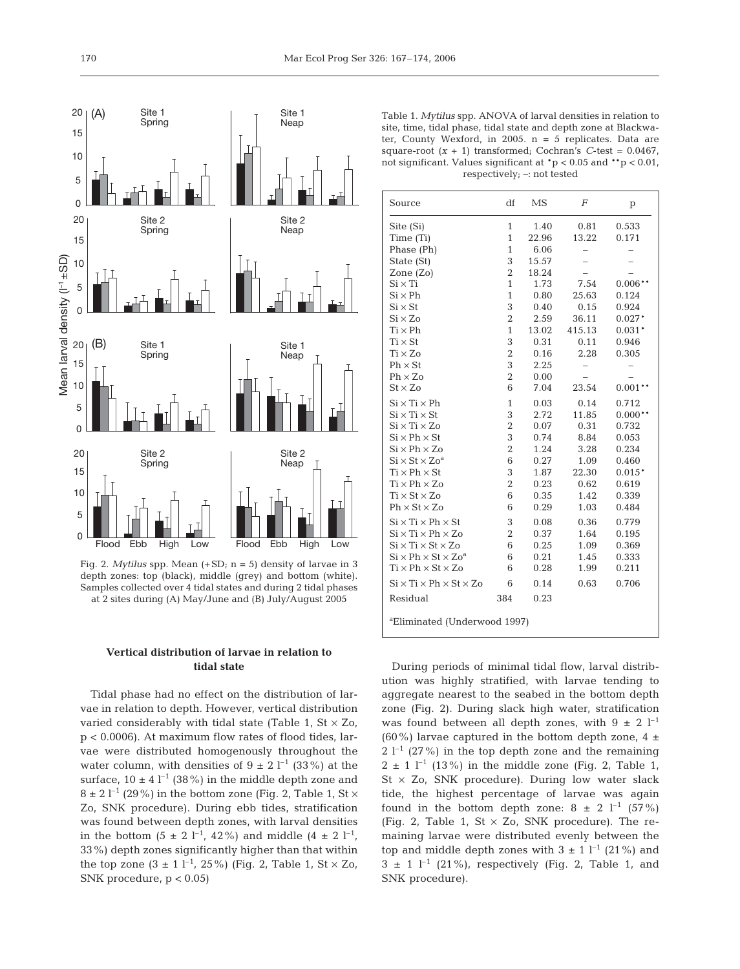

Fig. 2. *Mytilus* spp. Mean (+SD; n = 5) density of larvae in 3 depth zones: top (black), middle (grey) and bottom (white). Samples collected over 4 tidal states and during 2 tidal phases at 2 sites during (A) May/June and (B) July/August 2005

# **Vertical distribution of larvae in relation to tidal state**

Tidal phase had no effect on the distribution of larvae in relation to depth. However, vertical distribution varied considerably with tidal state (Table 1,  $St \times Zo$ , p < 0.0006). At maximum flow rates of flood tides, larvae were distributed homogenously throughout the water column, with densities of  $9 \pm 2$  l<sup>-1</sup> (33%) at the surface,  $10 \pm 4$  l<sup>-1</sup> (38%) in the middle depth zone and  $8 \pm 2$  l<sup>-1</sup> (29%) in the bottom zone (Fig. 2, Table 1, St  $\times$ Zo, SNK procedure). During ebb tides, stratification was found between depth zones, with larval densities in the bottom  $(5 \pm 2 \, \text{l}^{-1}, 42\%)$  and middle  $(4 \pm 2 \, \text{l}^{-1},$ 33%) depth zones significantly higher than that within the top zone  $(3 \pm 1 \, \text{I}^{-1}, 25\%)$  (Fig. 2, Table 1, St  $\times$  Zo, SNK procedure, p < 0.05)

Table 1. *Mytilus* spp. ANOVA of larval densities in relation to site, time, tidal phase, tidal state and depth zone at Blackwater, County Wexford, in 2005.  $n = 5$  replicates. Data are square-root  $(x + 1)$  transformed; Cochran's  $C$ -test =  $0.0467$ , not significant. Values significant at  $p < 0.05$  and  $* p < 0.01$ , respectively; –: not tested

| Source                                       | df             | MS    | F      | p         |  |  |
|----------------------------------------------|----------------|-------|--------|-----------|--|--|
| Site (Si)                                    | $\mathbf{1}$   | 1.40  | 0.81   | 0.533     |  |  |
| Time (Ti)                                    | $\overline{1}$ | 22.96 | 13.22  | 0.171     |  |  |
| Phase (Ph)                                   | $\overline{1}$ | 6.06  | -      |           |  |  |
| State (St)                                   | 3              | 15.57 |        |           |  |  |
| Zone (Zo)                                    | $\overline{2}$ | 18.24 |        |           |  |  |
| $Si \times Ti$                               | $\overline{1}$ | 1.73  | 7.54   | $0.006**$ |  |  |
| $Si \times Ph$                               | $\mathbf{1}$   | 0.80  | 25.63  | 0.124     |  |  |
| $Si \times St$                               | 3              | 0.40  | 0.15   | 0.924     |  |  |
| $Si \times Zo$                               | $\overline{2}$ | 2.59  | 36.11  | $0.027*$  |  |  |
| $Ti \times Ph$                               | $\overline{1}$ | 13.02 | 415.13 | $0.031*$  |  |  |
| $Ti \times St$                               | 3              | 0.31  | 0.11   | 0.946     |  |  |
| $Ti \times Zo$                               | $\overline{2}$ | 0.16  | 2.28   | 0.305     |  |  |
| $Ph \times St$                               | 3              | 2.25  |        |           |  |  |
| $Ph \times Zo$                               | $\overline{2}$ | 0.00  |        |           |  |  |
| $St \times Zo$                               | 6              | 7.04  | 23.54  | $0.001**$ |  |  |
| $Si \times Ti \times Ph$                     | $\mathbf{1}$   | 0.03  | 0.14   | 0.712     |  |  |
| $Si \times Ti \times St$                     | 3              | 2.72  | 11.85  | $0.000**$ |  |  |
| $Si \times Ti \times Zo$                     | $\overline{2}$ | 0.07  | 0.31   | 0.732     |  |  |
| $Si \times Ph \times St$                     | 3              | 0.74  | 8.84   | 0.053     |  |  |
| $Si \times Ph \times Zo$                     | $\overline{2}$ | 1.24  | 3.28   | 0.234     |  |  |
| $Si \times St \times Zo^a$                   | 6              | 0.27  | 1.09   | 0.460     |  |  |
| $Ti \times Ph \times St$                     | 3              | 1.87  | 22.30  | $0.015*$  |  |  |
| $Ti \times Ph \times Zo$                     | $\overline{2}$ | 0.23  | 0.62   | 0.619     |  |  |
| $Ti \times St \times Zo$                     | 6              | 0.35  | 1.42   | 0.339     |  |  |
| $Ph \times St \times Zo$                     | 6              | 0.29  | 1.03   | 0.484     |  |  |
| $Si \times Ti \times Ph \times St$           | 3              | 0.08  | 0.36   | 0.779     |  |  |
| $Si \times Ti \times Ph \times Zo$           | $\overline{2}$ | 0.37  | 1.64   | 0.195     |  |  |
| $Si \times Ti \times St \times Zo$           | 6              | 0.25  | 1.09   | 0.369     |  |  |
| $Si \times Ph \times St \times Zo^a$         | 6              | 0.21  | 1.45   | 0.333     |  |  |
| $Ti \times Ph \times St \times Zo$           | 6              | 0.28  | 1.99   | 0.211     |  |  |
| $Si \times Ti \times Ph \times St \times Zo$ | 6              | 0.14  | 0.63   | 0.706     |  |  |
| Residual                                     | 384            | 0.23  |        |           |  |  |
| <sup>a</sup> Eliminated (Underwood 1997)     |                |       |        |           |  |  |

During periods of minimal tidal flow, larval distribution was highly stratified, with larvae tending to aggregate nearest to the seabed in the bottom depth zone (Fig. 2). During slack high water, stratification was found between all depth zones, with  $9 \pm 2$  l<sup>-1</sup> (60%) larvae captured in the bottom depth zone,  $4 \pm$  $2 \,$ l<sup>-1</sup> (27%) in the top depth zone and the remaining  $2 \pm 1$  l<sup>-1</sup> (13%) in the middle zone (Fig. 2, Table 1, St  $\times$  Zo, SNK procedure). During low water slack tide, the highest percentage of larvae was again found in the bottom depth zone:  $8 \pm 2$  l<sup>-1</sup> (57%) (Fig. 2, Table 1, St  $\times$  Zo, SNK procedure). The remaining larvae were distributed evenly between the top and middle depth zones with  $3 \pm 1$   $\vert$ <sup>-1</sup> (21%) and  $3 \pm 1$  l<sup>-1</sup> (21%), respectively (Fig. 2, Table 1, and SNK procedure).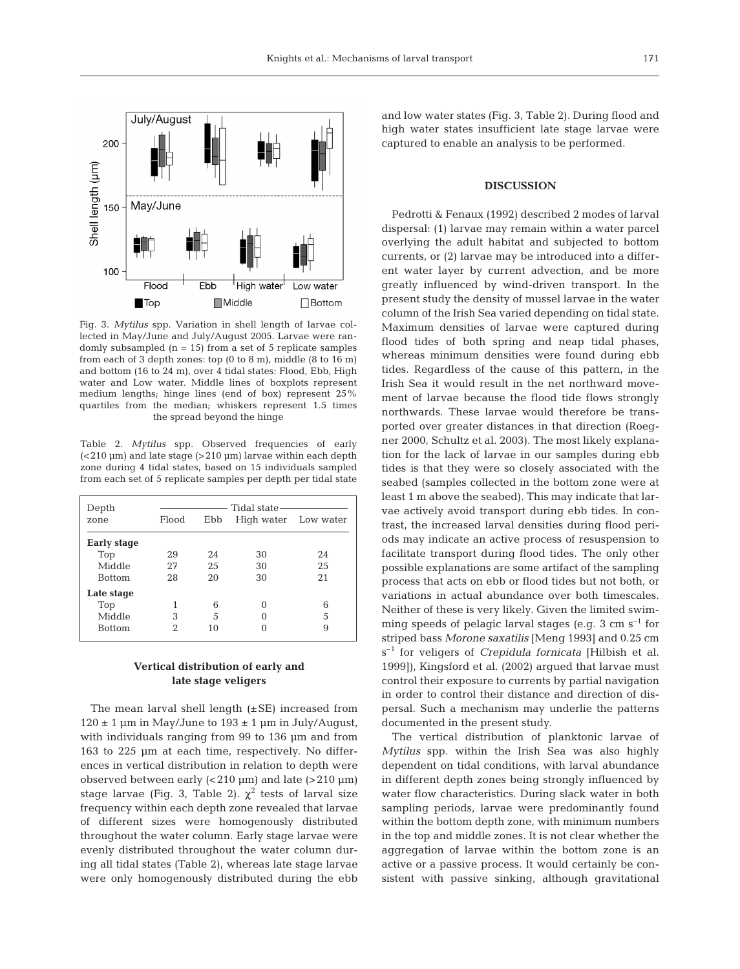

Fig. 3. *Mytilus* spp. Variation in shell length of larvae collected in May/June and July/August 2005. Larvae were randomly subsampled  $(n = 15)$  from a set of 5 replicate samples from each of 3 depth zones: top (0 to 8 m), middle (8 to 16 m) and bottom (16 to 24 m), over 4 tidal states: Flood, Ebb, High water and Low water. Middle lines of boxplots represent medium lengths; hinge lines (end of box) represent 25% quartiles from the median; whiskers represent 1.5 times the spread beyond the hinge

Table 2. *Mytilus* spp. Observed frequencies of early  $( $210 \mu m$ )$  and late stage  $( $210 \mu m$ )$  larvae within each depth zone during 4 tidal states, based on 15 individuals sampled from each set of 5 replicate samples per depth per tidal state

| Depth<br>zone | Flood | Ebb | Tidal state-<br>High water Low water |    |
|---------------|-------|-----|--------------------------------------|----|
| Early stage   |       |     |                                      |    |
| Top           | 29    | 24  | 30                                   | 24 |
| Middle        | 27    | 25  | 30                                   | 25 |
| <b>Bottom</b> | 28    | 20  | 30                                   | 21 |
| Late stage    |       |     |                                      |    |
| Top           |       | 6   | $\Omega$                             | 6  |
| Middle        | 3     | 5   | 0                                    | 5  |
| <b>Bottom</b> | 2     | 10  |                                      | 9  |

## **Vertical distribution of early and late stage veligers**

The mean larval shell length (±SE) increased from  $120 \pm 1$  µm in May/June to  $193 \pm 1$  µm in July/August, with individuals ranging from 99 to 136 µm and from 163 to 225 µm at each time, respectively. No differences in vertical distribution in relation to depth were observed between early  $( $210 \mu m$ )$  and late  $(>210 \mu m)$ stage larvae (Fig. 3, Table 2).  $\chi^2$  tests of larval size frequency within each depth zone revealed that larvae of different sizes were homogenously distributed throughout the water column. Early stage larvae were evenly distributed throughout the water column during all tidal states (Table 2), whereas late stage larvae were only homogenously distributed during the ebb and low water states (Fig. 3, Table 2). During flood and high water states insufficient late stage larvae were captured to enable an analysis to be performed.

#### **DISCUSSION**

Pedrotti & Fenaux (1992) described 2 modes of larval dispersal: (1) larvae may remain within a water parcel overlying the adult habitat and subjected to bottom currents, or (2) larvae may be introduced into a different water layer by current advection, and be more greatly influenced by wind-driven transport. In the present study the density of mussel larvae in the water column of the Irish Sea varied depending on tidal state. Maximum densities of larvae were captured during flood tides of both spring and neap tidal phases, whereas minimum densities were found during ebb tides. Regardless of the cause of this pattern, in the Irish Sea it would result in the net northward movement of larvae because the flood tide flows strongly northwards. These larvae would therefore be transported over greater distances in that direction (Roegner 2000, Schultz et al. 2003). The most likely explanation for the lack of larvae in our samples during ebb tides is that they were so closely associated with the seabed (samples collected in the bottom zone were at least 1 m above the seabed). This may indicate that larvae actively avoid transport during ebb tides. In contrast, the increased larval densities during flood periods may indicate an active process of resuspension to facilitate transport during flood tides. The only other possible explanations are some artifact of the sampling process that acts on ebb or flood tides but not both, or variations in actual abundance over both timescales. Neither of these is very likely. Given the limited swimming speeds of pelagic larval stages (e.g. 3 cm  $s^{-1}$  for striped bass *Morone saxatilis* [Meng 1993] and 0.25 cm s–1 for veligers of *Crepidula fornicata* [Hilbish et al. 1999]), Kingsford et al. (2002) argued that larvae must control their exposure to currents by partial navigation in order to control their distance and direction of dispersal. Such a mechanism may underlie the patterns documented in the present study.

The vertical distribution of planktonic larvae of *Mytilus* spp*.* within the Irish Sea was also highly dependent on tidal conditions, with larval abundance in different depth zones being strongly influenced by water flow characteristics. During slack water in both sampling periods, larvae were predominantly found within the bottom depth zone, with minimum numbers in the top and middle zones. It is not clear whether the aggregation of larvae within the bottom zone is an active or a passive process. It would certainly be consistent with passive sinking, although gravitational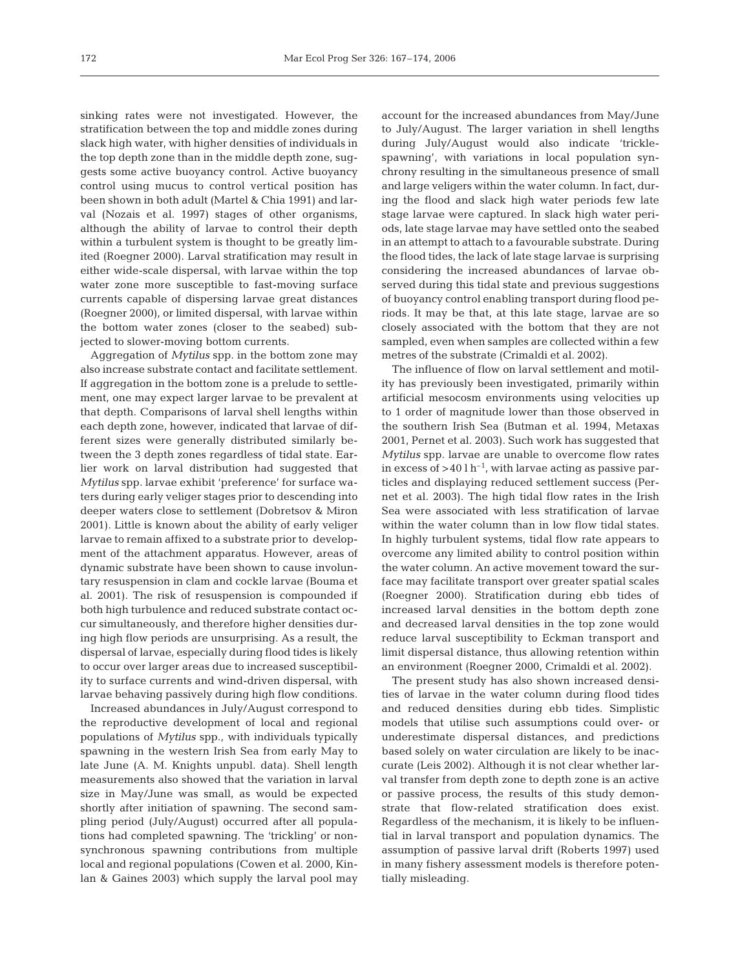sinking rates were not investigated. However, the stratification between the top and middle zones during slack high water, with higher densities of individuals in the top depth zone than in the middle depth zone, suggests some active buoyancy control. Active buoyancy control using mucus to control vertical position has been shown in both adult (Martel & Chia 1991) and larval (Nozais et al. 1997) stages of other organisms, although the ability of larvae to control their depth within a turbulent system is thought to be greatly limited (Roegner 2000). Larval stratification may result in either wide-scale dispersal, with larvae within the top water zone more susceptible to fast-moving surface currents capable of dispersing larvae great distances (Roegner 2000), or limited dispersal, with larvae within the bottom water zones (closer to the seabed) subjected to slower-moving bottom currents.

Aggregation of *Mytilus* spp. in the bottom zone may also increase substrate contact and facilitate settlement. If aggregation in the bottom zone is a prelude to settlement, one may expect larger larvae to be prevalent at that depth. Comparisons of larval shell lengths within each depth zone, however, indicated that larvae of different sizes were generally distributed similarly between the 3 depth zones regardless of tidal state. Earlier work on larval distribution had suggested that *Mytilus* spp*.* larvae exhibit 'preference' for surface waters during early veliger stages prior to descending into deeper waters close to settlement (Dobretsov & Miron 2001). Little is known about the ability of early veliger larvae to remain affixed to a substrate prior to development of the attachment apparatus. However, areas of dynamic substrate have been shown to cause involuntary resuspension in clam and cockle larvae (Bouma et al. 2001). The risk of resuspension is compounded if both high turbulence and reduced substrate contact occur simultaneously, and therefore higher densities during high flow periods are unsurprising. As a result, the dispersal of larvae, especially during flood tides is likely to occur over larger areas due to increased susceptibility to surface currents and wind-driven dispersal, with larvae behaving passively during high flow conditions.

Increased abundances in July/August correspond to the reproductive development of local and regional populations of *Mytilus* spp., with individuals typically spawning in the western Irish Sea from early May to late June (A. M. Knights unpubl. data). Shell length measurements also showed that the variation in larval size in May/June was small, as would be expected shortly after initiation of spawning. The second sampling period (July/August) occurred after all populations had completed spawning. The 'trickling' or nonsynchronous spawning contributions from multiple local and regional populations (Cowen et al. 2000, Kinlan & Gaines 2003) which supply the larval pool may

account for the increased abundances from May/June to July/August. The larger variation in shell lengths during July/August would also indicate 'tricklespawning', with variations in local population synchrony resulting in the simultaneous presence of small and large veligers within the water column. In fact, during the flood and slack high water periods few late stage larvae were captured. In slack high water periods, late stage larvae may have settled onto the seabed in an attempt to attach to a favourable substrate. During the flood tides, the lack of late stage larvae is surprising considering the increased abundances of larvae observed during this tidal state and previous suggestions of buoyancy control enabling transport during flood periods*.* It may be that, at this late stage, larvae are so closely associated with the bottom that they are not sampled, even when samples are collected within a few metres of the substrate (Crimaldi et al. 2002).

The influence of flow on larval settlement and motility has previously been investigated, primarily within artificial mesocosm environments using velocities up to 1 order of magnitude lower than those observed in the southern Irish Sea (Butman et al. 1994, Metaxas 2001, Pernet et al. 2003). Such work has suggested that *Mytilus* spp. larvae are unable to overcome flow rates in excess of  $>40 \lg 1 \text{h}^{-1}$ , with larvae acting as passive particles and displaying reduced settlement success (Pernet et al. 2003). The high tidal flow rates in the Irish Sea were associated with less stratification of larvae within the water column than in low flow tidal states. In highly turbulent systems, tidal flow rate appears to overcome any limited ability to control position within the water column. An active movement toward the surface may facilitate transport over greater spatial scales (Roegner 2000). Stratification during ebb tides of increased larval densities in the bottom depth zone and decreased larval densities in the top zone would reduce larval susceptibility to Eckman transport and limit dispersal distance, thus allowing retention within an environment (Roegner 2000, Crimaldi et al. 2002).

The present study has also shown increased densities of larvae in the water column during flood tides and reduced densities during ebb tides. Simplistic models that utilise such assumptions could over- or underestimate dispersal distances, and predictions based solely on water circulation are likely to be inaccurate (Leis 2002). Although it is not clear whether larval transfer from depth zone to depth zone is an active or passive process, the results of this study demonstrate that flow-related stratification does exist. Regardless of the mechanism, it is likely to be influential in larval transport and population dynamics. The assumption of passive larval drift (Roberts 1997) used in many fishery assessment models is therefore potentially misleading.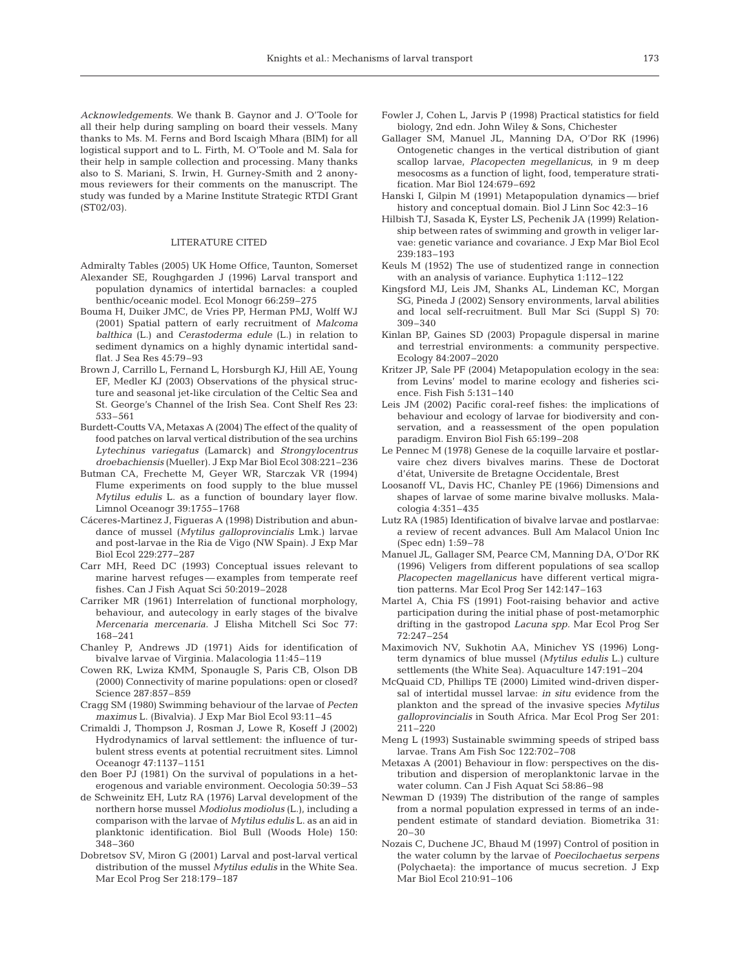*Acknowledgements.* We thank B. Gaynor and J. O'Toole for all their help during sampling on board their vessels. Many thanks to Ms. M. Ferns and Bord Iscaigh Mhara (BIM) for all logistical support and to L. Firth, M. O'Toole and M. Sala for their help in sample collection and processing. Many thanks also to S. Mariani, S. Irwin, H. Gurney-Smith and 2 anonymous reviewers for their comments on the manuscript. The study was funded by a Marine Institute Strategic RTDI Grant (ST02/03).

#### LITERATURE CITED

- Admiralty Tables (2005) UK Home Office, Taunton, Somerset Alexander SE, Roughgarden J (1996) Larval transport and
- population dynamics of intertidal barnacles: a coupled benthic/oceanic model. Ecol Monogr 66:259–275
- Bouma H, Duiker JMC, de Vries PP, Herman PMJ, Wolff WJ (2001) Spatial pattern of early recruitment of *Malcoma balthica* (L.) and *Cerastoderma edule* (L.) in relation to sediment dynamics on a highly dynamic intertidal sandflat. J Sea Res 45:79–93
- Brown J, Carrillo L, Fernand L, Horsburgh KJ, Hill AE, Young EF, Medler KJ (2003) Observations of the physical structure and seasonal jet-like circulation of the Celtic Sea and St. George's Channel of the Irish Sea. Cont Shelf Res 23: 533–561
- Burdett-Coutts VA, Metaxas A (2004) The effect of the quality of food patches on larval vertical distribution of the sea urchins *Lytechinus variegatus* (Lamarck) and *Strongylocentrus droebachiensis* (Mueller). J Exp Mar Biol Ecol 308:221–236
- Butman CA, Frechette M, Geyer WR, Starczak VR (1994) Flume experiments on food supply to the blue mussel *Mytilus edulis* L. as a function of boundary layer flow. Limnol Oceanogr 39:1755–1768
- Cáceres-Martinez J, Figueras A (1998) Distribution and abundance of mussel (*Mytilus galloprovincialis* Lmk.) larvae and post-larvae in the Ria de Vigo (NW Spain). J Exp Mar Biol Ecol 229:277–287
- Carr MH, Reed DC (1993) Conceptual issues relevant to marine harvest refuges — examples from temperate reef fishes. Can J Fish Aquat Sci 50:2019–2028
- Carriker MR (1961) Interrelation of functional morphology, behaviour, and autecology in early stages of the bivalve *Mercenaria mercenaria*. J Elisha Mitchell Sci Soc 77: 168–241
- Chanley P, Andrews JD (1971) Aids for identification of bivalve larvae of Virginia. Malacologia 11:45–119
- Cowen RK, Lwiza KMM, Sponaugle S, Paris CB, Olson DB (2000) Connectivity of marine populations: open or closed? Science 287:857–859
- Cragg SM (1980) Swimming behaviour of the larvae of *Pecten maximus* L. (Bivalvia). J Exp Mar Biol Ecol 93:11–45
- Crimaldi J, Thompson J, Rosman J, Lowe R, Koseff J (2002) Hydrodynamics of larval settlement: the influence of turbulent stress events at potential recruitment sites. Limnol Oceanogr 47:1137–1151
- den Boer PJ (1981) On the survival of populations in a heterogenous and variable environment. Oecologia 50:39–53
- de Schweinitz EH, Lutz RA (1976) Larval development of the northern horse mussel *Modiolus modiolus* (L.), including a comparison with the larvae of *Mytilus edulis* L. as an aid in planktonic identification. Biol Bull (Woods Hole) 150: 348–360
- Dobretsov SV, Miron G (2001) Larval and post-larval vertical distribution of the mussel *Mytilus edulis* in the White Sea. Mar Ecol Prog Ser 218:179–187
- Fowler J, Cohen L, Jarvis P (1998) Practical statistics for field biology, 2nd edn. John Wiley & Sons, Chichester
- Gallager SM, Manuel JL, Manning DA, O'Dor RK (1996) Ontogenetic changes in the vertical distribution of giant scallop larvae, *Placopecten megellanicus*, in 9 m deep mesocosms as a function of light, food, temperature stratification. Mar Biol 124:679–692
- Hanski I, Gilpin M (1991) Metapopulation dynamics brief history and conceptual domain. Biol J Linn Soc 42:3–16
- Hilbish TJ, Sasada K, Eyster LS, Pechenik JA (1999) Relationship between rates of swimming and growth in veliger larvae: genetic variance and covariance. J Exp Mar Biol Ecol 239:183–193
- Keuls M (1952) The use of studentized range in connection with an analysis of variance. Euphytica 1:112–122
- Kingsford MJ, Leis JM, Shanks AL, Lindeman KC, Morgan SG, Pineda J (2002) Sensory environments, larval abilities and local self-recruitment. Bull Mar Sci (Suppl S) 70: 309–340
- Kinlan BP, Gaines SD (2003) Propagule dispersal in marine and terrestrial environments: a community perspective. Ecology 84:2007–2020
- Kritzer JP, Sale PF (2004) Metapopulation ecology in the sea: from Levins' model to marine ecology and fisheries science. Fish Fish 5:131–140
- Leis JM (2002) Pacific coral-reef fishes: the implications of behaviour and ecology of larvae for biodiversity and conservation, and a reassessment of the open population paradigm. Environ Biol Fish 65:199–208
- Le Pennec M (1978) Genese de la coquille larvaire et postlarvaire chez divers bivalves marins. These de Doctorat d'état, Universite de Bretagne Occidentale, Brest
- Loosanoff VL, Davis HC, Chanley PE (1966) Dimensions and shapes of larvae of some marine bivalve mollusks. Malacologia 4:351–435
- Lutz RA (1985) Identification of bivalve larvae and postlarvae: a review of recent advances. Bull Am Malacol Union Inc (Spec edn) 1:59–78
- Manuel JL, Gallager SM, Pearce CM, Manning DA, O'Dor RK (1996) Veligers from different populations of sea scallop *Placopecten magellanicus* have different vertical migration patterns. Mar Ecol Prog Ser 142:147–163
- Martel A, Chia FS (1991) Foot-raising behavior and active participation during the initial phase of post-metamorphic drifting in the gastropod *Lacuna spp.* Mar Ecol Prog Ser 72:247–254
- Maximovich NV, Sukhotin AA, Minichev YS (1996) Longterm dynamics of blue mussel (*Mytilus edulis* L.) culture settlements (the White Sea). Aquaculture 147:191–204
- McQuaid CD, Phillips TE (2000) Limited wind-driven dispersal of intertidal mussel larvae: *in situ* evidence from the plankton and the spread of the invasive species *Mytilus galloprovincialis* in South Africa. Mar Ecol Prog Ser 201: 211–220
- Meng L (1993) Sustainable swimming speeds of striped bass larvae. Trans Am Fish Soc 122:702–708
- Metaxas A (2001) Behaviour in flow: perspectives on the distribution and dispersion of meroplanktonic larvae in the water column. Can J Fish Aquat Sci 58:86–98
- Newman D (1939) The distribution of the range of samples from a normal population expressed in terms of an independent estimate of standard deviation. Biometrika 31: 20–30
- Nozais C, Duchene JC, Bhaud M (1997) Control of position in the water column by the larvae of *Poecilochaetus serpens* (Polychaeta): the importance of mucus secretion. J Exp Mar Biol Ecol 210:91–106